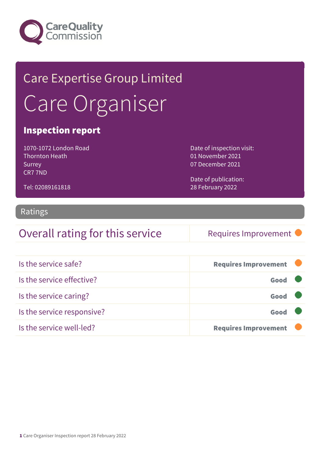

## Care Expertise Group Limited Care Organiser

#### Inspection report

1070-1072 London Road Thornton Heath Surrey CR7 7ND

Date of inspection visit: 01 November 2021 07 December 2021

Date of publication: 28 February 2022

#### Tel: 02089161818

#### Ratings

### Overall rating for this service Requires Improvement

| Is the service safe?       | <b>Requires Improvement</b> |  |
|----------------------------|-----------------------------|--|
| Is the service effective?  | Good                        |  |
| Is the service caring?     | Good                        |  |
| Is the service responsive? | Good                        |  |
| Is the service well-led?   | <b>Requires Improvement</b> |  |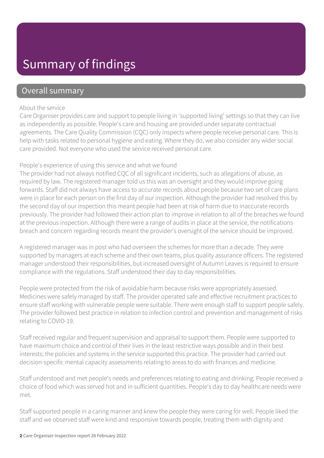### Summary of findings

#### Overall summary

#### About the service

Care Organiser provides care and support to people living in 'supported living' settings so that they can live as independently as possible. People's care and housing are provided under separate contractual agreements. The Care Quality Commission (CQC) only inspects where people receive personal care. This is help with tasks related to personal hygiene and eating. Where they do, we also consider any wider social care provided. Not everyone who used the service received personal care.

#### People's experience of using this service and what we found

The provider had not always notified CQC of all significant incidents, such as allegations of abuse, as required by law. The registered manager told us this was an oversight and they would improve going forwards. Staff did not always have access to accurate records about people because two set of care plans were in place for each person on the first day of our inspection. Although the provider had resolved this by the second day of our inspection this meant people had been at risk of harm due to inaccurate records previously. The provider had followed their action plan to improve in relation to all of the breaches we found at the previous inspection. Although there were a range of audits in place at the service, the notifications breach and concern regarding records meant the provider's oversight of the service should be improved.

A registered manager was in post who had overseen the schemes for more than a decade. They were supported by managers at each scheme and their own teams, plus quality assurance officers. The registered manager understood their responsibilities, but increased oversight of Autumn Leaves is required to ensure compliance with the regulations. Staff understood their day to day responsibilities.

People were protected from the risk of avoidable harm because risks were appropriately assessed. Medicines were safely managed by staff. The provider operated safe and effective recruitment practices to ensure staff working with vulnerable people were suitable. There were enough staff to support people safely. The provider followed best practice in relation to infection control and prevention and management of risks relating to COVID-19.

Staff received regular and frequent supervision and appraisal to support them. People were supported to have maximum choice and control of their lives in the least restrictive ways possible and in their best interests; the policies and systems in the service supported this practice. The provider had carried out decision-specific mental capacity assessments relating to areas to do with finances and medicine.

Staff understood and met people's needs and preferences relating to eating and drinking. People received a choice of food which was served hot and in sufficient quantities. People's day to day healthcare needs were met.

Staff supported people in a caring manner and knew the people they were caring for well. People liked the staff and we observed staff were kind and responsive towards people, treating them with dignity and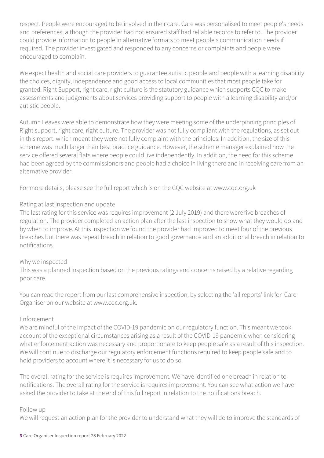respect. People were encouraged to be involved in their care. Care was personalised to meet people's needs and preferences, although the provider had not ensured staff had reliable records to refer to. The provider could provide information to people in alternative formats to meet people's communication needs if required. The provider investigated and responded to any concerns or complaints and people were encouraged to complain.

We expect health and social care providers to guarantee autistic people and people with a learning disability the choices, dignity, independence and good access to local communities that most people take for granted. Right Support, right care, right culture is the statutory guidance which supports CQC to make assessments and judgements about services providing support to people with a learning disability and/or autistic people.

Autumn Leaves were able to demonstrate how they were meeting some of the underpinning principles of Right support, right care, right culture. The provider was not fully compliant with the regulations, as set out in this report. which meant they were not fully complaint with the principles. In addition, the size of this scheme was much larger than best practice guidance. However, the scheme manager explained how the service offered several flats where people could live independently. In addition, the need for this scheme had been agreed by the commissioners and people had a choice in living there and in receiving care from an alternative provider.

For more details, please see the full report which is on the CQC website at www.cqc.org.uk

#### Rating at last inspection and update

The last rating for this service was requires improvement (2 July 2019) and there were five breaches of regulation. The provider completed an action plan after the last inspection to show what they would do and by when to improve. At this inspection we found the provider had improved to meet four of the previous breaches but there was repeat breach in relation to good governance and an additional breach in relation to notifications.

#### Why we inspected

This was a planned inspection based on the previous ratings and concerns raised by a relative regarding poor care.

You can read the report from our last comprehensive inspection, by selecting the 'all reports' link for Care Organiser on our website at www.cqc.org.uk.

#### Enforcement

We are mindful of the impact of the COVID-19 pandemic on our regulatory function. This meant we took account of the exceptional circumstances arising as a result of the COVID-19 pandemic when considering what enforcement action was necessary and proportionate to keep people safe as a result of this inspection. We will continue to discharge our regulatory enforcement functions required to keep people safe and to hold providers to account where it is necessary for us to do so.

The overall rating for the service is requires improvement. We have identified one breach in relation to notifications. The overall rating for the service is requires improvement. You can see what action we have asked the provider to take at the end of this full report in relation to the notifications breach.

#### Follow up

We will request an action plan for the provider to understand what they will do to improve the standards of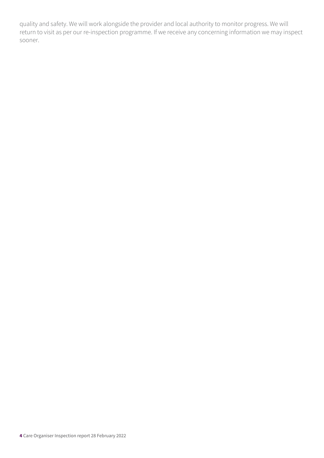quality and safety. We will work alongside the provider and local authority to monitor progress. We will return to visit as per our re-inspection programme. If we receive any concerning information we may inspect sooner.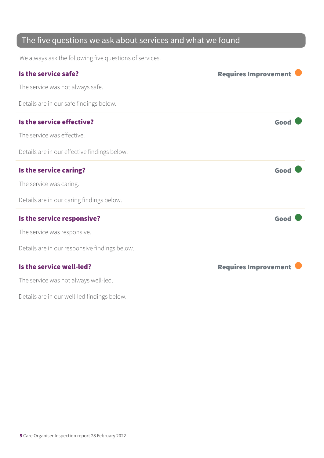### The five questions we ask about services and what we found

We always ask the following five questions of services.

| Is the service safe?                          | <b>Requires Improvement</b> |
|-----------------------------------------------|-----------------------------|
| The service was not always safe.              |                             |
| Details are in our safe findings below.       |                             |
| Is the service effective?                     | Good                        |
| The service was effective.                    |                             |
| Details are in our effective findings below.  |                             |
| Is the service caring?                        | Good                        |
| The service was caring.                       |                             |
| Details are in our caring findings below.     |                             |
| Is the service responsive?                    | Good                        |
| The service was responsive.                   |                             |
| Details are in our responsive findings below. |                             |
| Is the service well-led?                      | <b>Requires Improvement</b> |
| The service was not always well-led.          |                             |
| Details are in our well-led findings below.   |                             |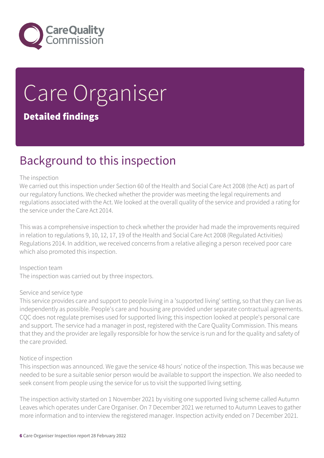

# Care Organiser

#### Detailed findings

### Background to this inspection

#### The inspection

We carried out this inspection under Section 60 of the Health and Social Care Act 2008 (the Act) as part of our regulatory functions. We checked whether the provider was meeting the legal requirements and regulations associated with the Act. We looked at the overall quality of the service and provided a rating for the service under the Care Act 2014.

This was a comprehensive inspection to check whether the provider had made the improvements required in relation to regulations 9, 10, 12, 17, 19 of the Health and Social Care Act 2008 (Regulated Activities) Regulations 2014. In addition, we received concerns from a relative alleging a person received poor care which also promoted this inspection.

Inspection team The inspection was carried out by three inspectors.

#### Service and service type

This service provides care and support to people living in a 'supported living' setting, so that they can live as independently as possible. People's care and housing are provided under separate contractual agreements. CQC does not regulate premises used for supported living; this inspection looked at people's personal care and support. The service had a manager in post, registered with the Care Quality Commission. This means that they and the provider are legally responsible for how the service is run and for the quality and safety of the care provided.

#### Notice of inspection

This inspection was announced. We gave the service 48 hours' notice of the inspection. This was because we needed to be sure a suitable senior person would be available to support the inspection. We also needed to seek consent from people using the service for us to visit the supported living setting.

The inspection activity started on 1 November 2021 by visiting one supported living scheme called Autumn Leaves which operates under Care Organiser. On 7 December 2021 we returned to Autumn Leaves to gather more information and to interview the registered manager. Inspection activity ended on 7 December 2021.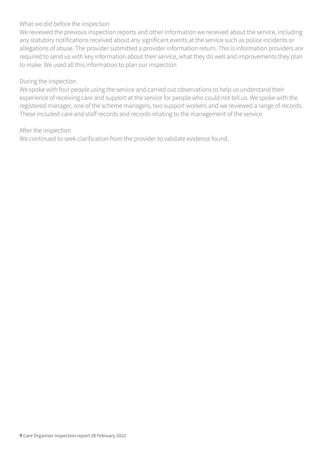#### What we did before the inspection

We reviewed the previous inspection reports and other information we received about the service, including any statutory notifications received about any significant events at the service such as police incidents or allegations of abuse. The provider submitted a provider information return. This is information providers are required to send us with key information about their service, what they do well and improvements they plan to make. We used all this information to plan our inspection

#### During the inspection

We spoke with four people using the service and carried out observations to help us understand their experience of receiving care and support at the service for people who could not tell us. We spoke with the registered manager, one of the scheme managers, two support workers and we reviewed a range of records. These included care and staff records and records relating to the management of the service.

#### After the inspection

We continued to seek clarification from the provider to validate evidence found.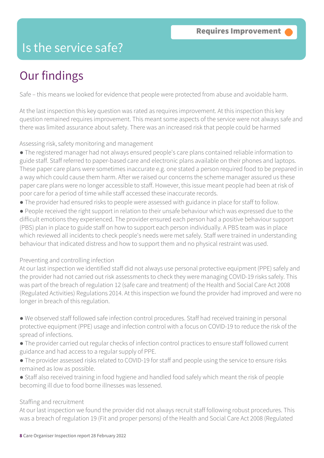### Is the service safe?

### Our findings

Safe – this means we looked for evidence that people were protected from abuse and avoidable harm.

At the last inspection this key question was rated as requires improvement. At this inspection this key question remained requires improvement. This meant some aspects of the service were not always safe and there was limited assurance about safety. There was an increased risk that people could be harmed

Assessing risk, safety monitoring and management

- The registered manager had not always ensured people's care plans contained reliable information to guide staff. Staff referred to paper-based care and electronic plans available on their phones and laptops. These paper care plans were sometimes inaccurate e.g. one stated a person required food to be prepared in a way which could cause them harm. After we raised our concerns the scheme manager assured us these paper care plans were no longer accessible to staff. However, this issue meant people had been at risk of poor care for a period of time while staff accessed these inaccurate records.
- The provider had ensured risks to people were assessed with guidance in place for staff to follow.

● People received the right support in relation to their unsafe behaviour which was expressed due to the difficult emotions they experienced. The provider ensured each person had a positive behaviour support (PBS) plan in place to guide staff on how to support each person individually. A PBS team was in place which reviewed all incidents to check people's needs were met safely. Staff were trained in understanding behaviour that indicated distress and how to support them and no physical restraint was used.

#### Preventing and controlling infection

At our last inspection we identified staff did not always use personal protective equipment (PPE) safely and the provider had not carried out risk assessments to check they were managing COVID-19 risks safely. This was part of the breach of regulation 12 (safe care and treatment) of the Health and Social Care Act 2008 (Regulated Activities) Regulations 2014. At this inspection we found the provider had improved and were no longer in breach of this regulation.

● We observed staff followed safe infection control procedures. Staff had received training in personal protective equipment (PPE) usage and infection control with a focus on COVID-19 to reduce the risk of the spread of infections.

- The provider carried out regular checks of infection control practices to ensure staff followed current guidance and had access to a regular supply of PPE.
- The provider assessed risks related to COVID-19 for staff and people using the service to ensure risks remained as low as possible.
- Staff also received training in food hygiene and handled food safely which meant the risk of people becoming ill due to food borne illnesses was lessened.

#### Staffing and recruitment

At our last inspection we found the provider did not always recruit staff following robust procedures. This was a breach of regulation 19 (Fit and proper persons) of the Health and Social Care Act 2008 (Regulated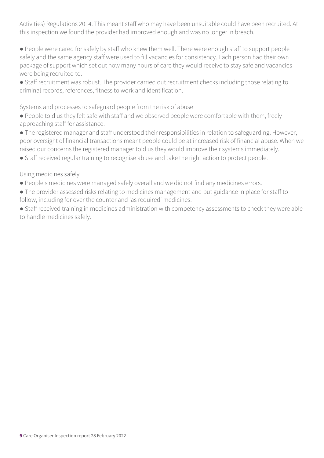Activities) Regulations 2014. This meant staff who may have been unsuitable could have been recruited. At this inspection we found the provider had improved enough and was no longer in breach.

● People were cared for safely by staff who knew them well. There were enough staff to support people safely and the same agency staff were used to fill vacancies for consistency. Each person had their own package of support which set out how many hours of care they would receive to stay safe and vacancies were being recruited to.

● Staff recruitment was robust. The provider carried out recruitment checks including those relating to criminal records, references, fitness to work and identification.

Systems and processes to safeguard people from the risk of abuse

● People told us they felt safe with staff and we observed people were comfortable with them, freely approaching staff for assistance.

● The registered manager and staff understood their responsibilities in relation to safeguarding. However, poor oversight of financial transactions meant people could be at increased risk of financial abuse. When we raised our concerns the registered manager told us they would improve their systems immediately.

● Staff received regular training to recognise abuse and take the right action to protect people.

Using medicines safely

- People's medicines were managed safely overall and we did not find any medicines errors.
- The provider assessed risks relating to medicines management and put guidance in place for staff to follow, including for over the counter and 'as required' medicines.

● Staff received training in medicines administration with competency assessments to check they were able to handle medicines safely.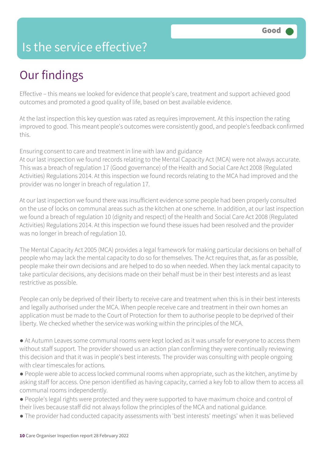### Is the service effective?

### Our findings

Effective – this means we looked for evidence that people's care, treatment and support achieved good outcomes and promoted a good quality of life, based on best available evidence.

At the last inspection this key question was rated as requires improvement. At this inspection the rating improved to good. This meant people's outcomes were consistently good, and people's feedback confirmed this.

Ensuring consent to care and treatment in line with law and guidance

At our last inspection we found records relating to the Mental Capacity Act (MCA) were not always accurate. This was a breach of regulation 17 (Good governance) of the Health and Social Care Act 2008 (Regulated Activities) Regulations 2014. At this inspection we found records relating to the MCA had improved and the provider was no longer in breach of regulation 17.

At our last inspection we found there was insufficient evidence some people had been properly consulted on the use of locks on communal areas such as the kitchen at one scheme. In addition, at our last inspection we found a breach of regulation 10 (dignity and respect) of the Health and Social Care Act 2008 (Regulated Activities) Regulations 2014. At this inspection we found these issues had been resolved and the provider was no longer in breach of regulation 10.

The Mental Capacity Act 2005 (MCA) provides a legal framework for making particular decisions on behalf of people who may lack the mental capacity to do so for themselves. The Act requires that, as far as possible, people make their own decisions and are helped to do so when needed. When they lack mental capacity to take particular decisions, any decisions made on their behalf must be in their best interests and as least restrictive as possible.

People can only be deprived of their liberty to receive care and treatment when this is in their best interests and legally authorised under the MCA. When people receive care and treatment in their own homes an application must be made to the Court of Protection for them to authorise people to be deprived of their liberty. We checked whether the service was working within the principles of the MCA.

● At Autumn Leaves some communal rooms were kept locked as it was unsafe for everyone to access them without staff support. The provider showed us an action plan confirming they were continually reviewing this decision and that it was in people's best interests. The provider was consulting with people ongoing with clear timescales for actions.

● People were able to access locked communal rooms when appropriate, such as the kitchen, anytime by asking staff for access. One person identified as having capacity, carried a key fob to allow them to access all communal rooms independently.

● People's legal rights were protected and they were supported to have maximum choice and control of their lives because staff did not always follow the principles of the MCA and national guidance.

● The provider had conducted capacity assessments with 'best interests' meetings' when it was believed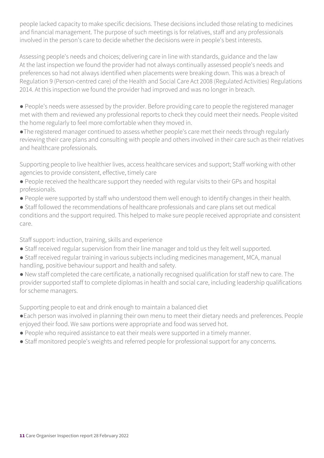people lacked capacity to make specific decisions. These decisions included those relating to medicines and financial management. The purpose of such meetings is for relatives, staff and any professionals involved in the person's care to decide whether the decisions were in people's best interests.

Assessing people's needs and choices; delivering care in line with standards, guidance and the law At the last inspection we found the provider had not always continually assessed people's needs and preferences so had not always identified when placements were breaking down. This was a breach of Regulation 9 (Person-centred care) of the Health and Social Care Act 2008 (Regulated Activities) Regulations 2014. At this inspection we found the provider had improved and was no longer in breach.

● People's needs were assessed by the provider. Before providing care to people the registered manager met with them and reviewed any professional reports to check they could meet their needs. People visited the home regularly to feel more comfortable when they moved in.

●The registered manager continued to assess whether people's care met their needs through regularly reviewing their care plans and consulting with people and others involved in their care such as their relatives and healthcare professionals.

Supporting people to live healthier lives, access healthcare services and support; Staff working with other agencies to provide consistent, effective, timely care

- People received the healthcare support they needed with regular visits to their GPs and hospital professionals.
- People were supported by staff who understood them well enough to identify changes in their health.
- Staff followed the recommendations of healthcare professionals and care plans set out medical conditions and the support required. This helped to make sure people received appropriate and consistent care.

Staff support: induction, training, skills and experience

- Staff received regular supervision from their line manager and told us they felt well supported.
- Staff received regular training in various subjects including medicines management, MCA, manual handling, positive behaviour support and health and safety.
- New staff completed the care certificate, a nationally recognised qualification for staff new to care. The provider supported staff to complete diplomas in health and social care, including leadership qualifications for scheme managers.

Supporting people to eat and drink enough to maintain a balanced diet

- ●Each person was involved in planning their own menu to meet their dietary needs and preferences. People enjoyed their food. We saw portions were appropriate and food was served hot.
- People who required assistance to eat their meals were supported in a timely manner.
- Staff monitored people's weights and referred people for professional support for any concerns.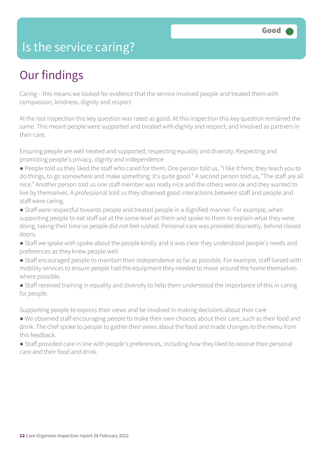### Is the service caring?

### Our findings

Caring – this means we looked for evidence that the service involved people and treated them with compassion, kindness, dignity and respect

At the last inspection this key question was rated as good. At this inspection this key question remained the same. This meant people were supported and treated with dignity and respect; and involved as partners in their care.

Ensuring people are well treated and supported; respecting equality and diversity; Respecting and promoting people's privacy, dignity and independence

● People told us they liked the staff who cared for them. One person told us, "I like it here, they teach you to do things, to go somewhere and make something. It's quite good." A second person told us, "The staff are all nice." Another person told us one staff member was really nice and the others were ok and they wanted to live by themselves. A professional told us they observed good interactions between staff and people and staff were caring.

- Staff were respectful towards people and treated people in a dignified manner. For example, when supporting people to eat staff sat at the same level as them and spoke to them to explain what they were doing, taking their time so people did not feel rushed. Personal care was provided discreetly, behind closed doors.
- Staff we spoke with spoke about the people kindly and it was clear they understood people's needs and preferences as they knew people well.
- Staff encouraged people to maintain their independence as far as possible. For example, staff liaised with mobility services to ensure people had the equipment they needed to move around the home themselves where possible.
- Staff received training in equality and diversity to help them understood the importance of this in caring for people.

Supporting people to express their views and be involved in making decisions about their care

- We observed staff encouraging people to make their own choices about their care, such as their food and drink. The chef spoke to people to gather their views about the food and made changes to the menu from this feedback.
- Staff provided care in line with people's preferences, including how they liked to receive their personal care and their food and drink.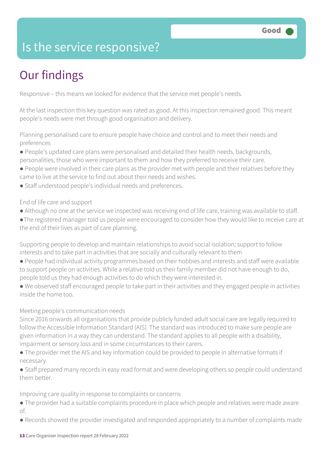### Is the service responsive?

### Our findings

Responsive – this means we looked for evidence that the service met people's needs.

At the last inspection this key question was rated as good. At this inspection remained good. This meant people's needs were met through good organisation and delivery.

Planning personalised care to ensure people have choice and control and to meet their needs and preferences

- People's updated care plans were personalised and detailed their health needs, backgrounds, personalities, those who were important to them and how they preferred to receive their care.
- People were involved in their care plans as the provider met with people and their relatives before they came to live at the service to find out about their needs and wishes.
- Staff understood people's individual needs and preferences.

#### End of life care and support

- Although no one at the service we inspected was receiving end of life care, training was available to staff.
- ●The registered manager told us people were encouraged to consider how they would like to receive care at the end of their lives as part of care planning.

Supporting people to develop and maintain relationships to avoid social isolation; support to follow interests and to take part in activities that are socially and culturally relevant to them

- People had individual activity programmes based on their hobbies and interests and staff were available to support people on activities. While a relative told us their family member did not have enough to do, people told us they had enough activities to do which they were interested in.
- We observed staff encouraged people to take part in their activities and they engaged people in activities inside the home too.

#### Meeting people's communication needs

Since 2016 onwards all organisations that provide publicly funded adult social care are legally required to follow the Accessible Information Standard (AIS). The standard was introduced to make sure people are given information in a way they can understand. The standard applies to all people with a disability, impairment or sensory loss and in some circumstances to their carers.

● The provider met the AIS and key information could be provided to people in alternative formats if necessary.

● Staff prepared many records in easy read format and were developing others so people could understand them better.

Improving care quality in response to complaints or concerns

- The provider had a suitable complaints procedure in place which people and relatives were made aware of.
- Records showed the provider investigated and responded appropriately to a number of complaints made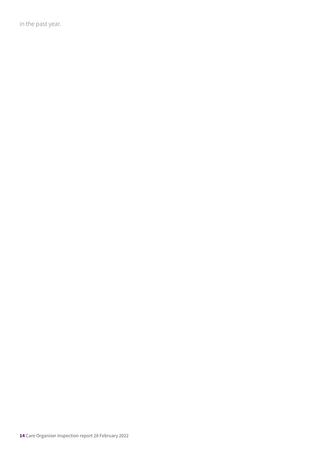in the past year.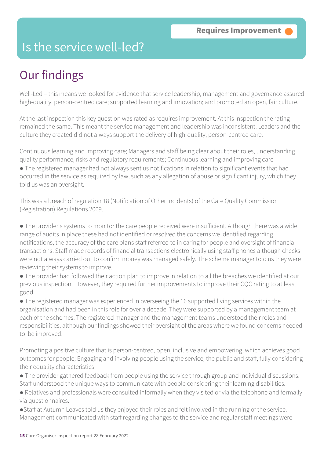### Is the service well-led?

### Our findings

Well-Led – this means we looked for evidence that service leadership, management and governance assured high-quality, person-centred care; supported learning and innovation; and promoted an open, fair culture.

At the last inspection this key question was rated as requires improvement. At this inspection the rating remained the same. This meant the service management and leadership was inconsistent. Leaders and the culture they created did not always support the delivery of high-quality, person-centred care.

Continuous learning and improving care; Managers and staff being clear about their roles, understanding quality performance, risks and regulatory requirements; Continuous learning and improving care

● The registered manager had not always sent us notifications in relation to significant events that had occurred in the service as required by law, such as any allegation of abuse or significant injury, which they told us was an oversight.

This was a breach of regulation 18 (Notification of Other Incidents) of the Care Quality Commission (Registration) Regulations 2009.

● The provider's systems to monitor the care people received were insufficient. Although there was a wide range of audits in place these had not identified or resolved the concerns we identified regarding notifications, the accuracy of the care plans staff referred to in caring for people and oversight of financial transactions. Staff made records of financial transactions electronically using staff phones although checks were not always carried out to confirm money was managed safely. The scheme manager told us they were reviewing their systems to improve.

● The provider had followed their action plan to improve in relation to all the breaches we identified at our previous inspection. However, they required further improvements to improve their CQC rating to at least good.

● The registered manager was experienced in overseeing the 16 supported living services within the organisation and had been in this role for over a decade. They were supported by a management team at each of the schemes. The registered manager and the management teams understood their roles and responsibilities, although our findings showed their oversight of the areas where we found concerns needed to be improved.

Promoting a positive culture that is person-centred, open, inclusive and empowering, which achieves good outcomes for people; Engaging and involving people using the service, the public and staff, fully considering their equality characteristics

● The provider gathered feedback from people using the service through group and individual discussions. Staff understood the unique ways to communicate with people considering their learning disabilities.

● Relatives and professionals were consulted informally when they visited or via the telephone and formally via questionnaires.

●Staff at Autumn Leaves told us they enjoyed their roles and felt involved in the running of the service. Management communicated with staff regarding changes to the service and regular staff meetings were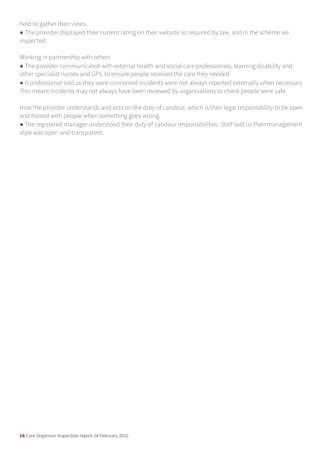held to gather their views.

● The provider displayed their current rating on their website as required by law, and in the scheme we inspected.

Working in partnership with others

● The provider communicated with external health and social care professionals, learning disability and other specialist nurses and GPs, to ensure people received the care they needed.

● A professional told us they were concerned incidents were not always reported externally when necessary. This meant incidents may not always have been reviewed by organisations to check people were safe.

How the provider understands and acts on the duty of candour, which is their legal responsibility to be open and honest with people when something goes wrong.

● The registered manager understood their duty of candour responsibilities. Staff told us their management style was open and transparent.